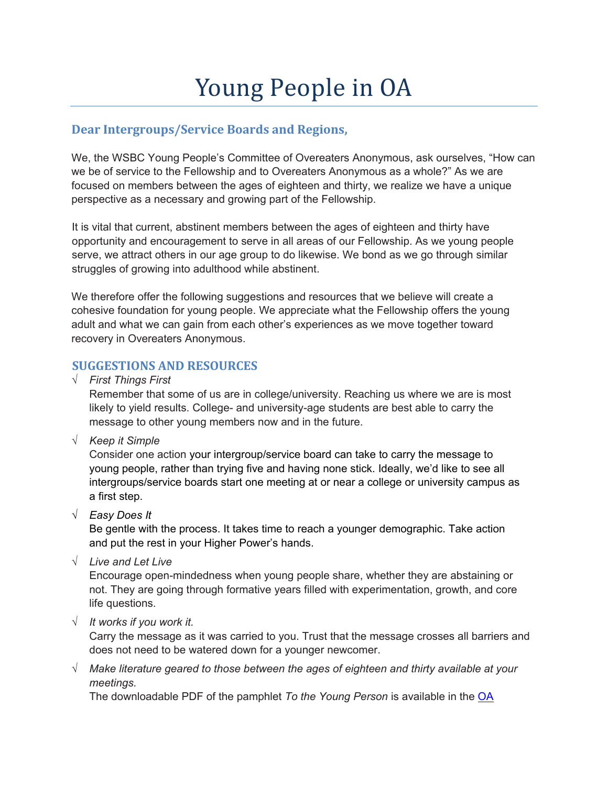# Young People in OA

## **Dear Intergroups/Service Boards and Regions,**

We, the WSBC Young People's Committee of Overeaters Anonymous, ask ourselves, "How can we be of service to the Fellowship and to Overeaters Anonymous as a whole?" As we are focused on members between the ages of eighteen and thirty, we realize we have a unique perspective as a necessary and growing part of the Fellowship.

It is vital that current, abstinent members between the ages of eighteen and thirty have opportunity and encouragement to serve in all areas of our Fellowship. As we young people serve, we attract others in our age group to do likewise. We bond as we go through similar struggles of growing into adulthood while abstinent.

We therefore offer the following suggestions and resources that we believe will create a cohesive foundation for young people. We appreciate what the Fellowship offers the young adult and what we can gain from each other's experiences as we move together toward recovery in Overeaters Anonymous.

### **SUGGESTIONS AND RESOURCES**

√ *First Things First*

Remember that some of us are in college/university. Reaching us where we are is most likely to yield results. College- and university-age students are best able to carry the message to other young members now and in the future.

√ *Keep it Simple*

Consider one action your intergroup/service board can take to carry the message to young people, rather than trying five and having none stick. Ideally, we'd like to see all intergroups/service boards start one meeting at or near a college or university campus as a first step.

√ *Easy Does It*

Be gentle with the process. It takes time to reach a younger demographic. Take action and put the rest in your Higher Power's hands.

√ *Live and Let Live*

Encourage open-mindedness when young people share, whether they are abstaining or not. They are going through formative years filled with experimentation, growth, and core life questions.

√ *It works if you work it.* 

Carry the message as it was carried to you. Trust that the message crosses all barriers and does not need to be watered down for a younger newcomer.

√ *Make literature geared to those between the ages of eighteen and thirty available at your meetings.* 

The downloadable PDF of the pamphlet *To the Young Person* is available in the [OA](https://bookstore.oa.org/pamphlets/to-the-young-person-280.asp)